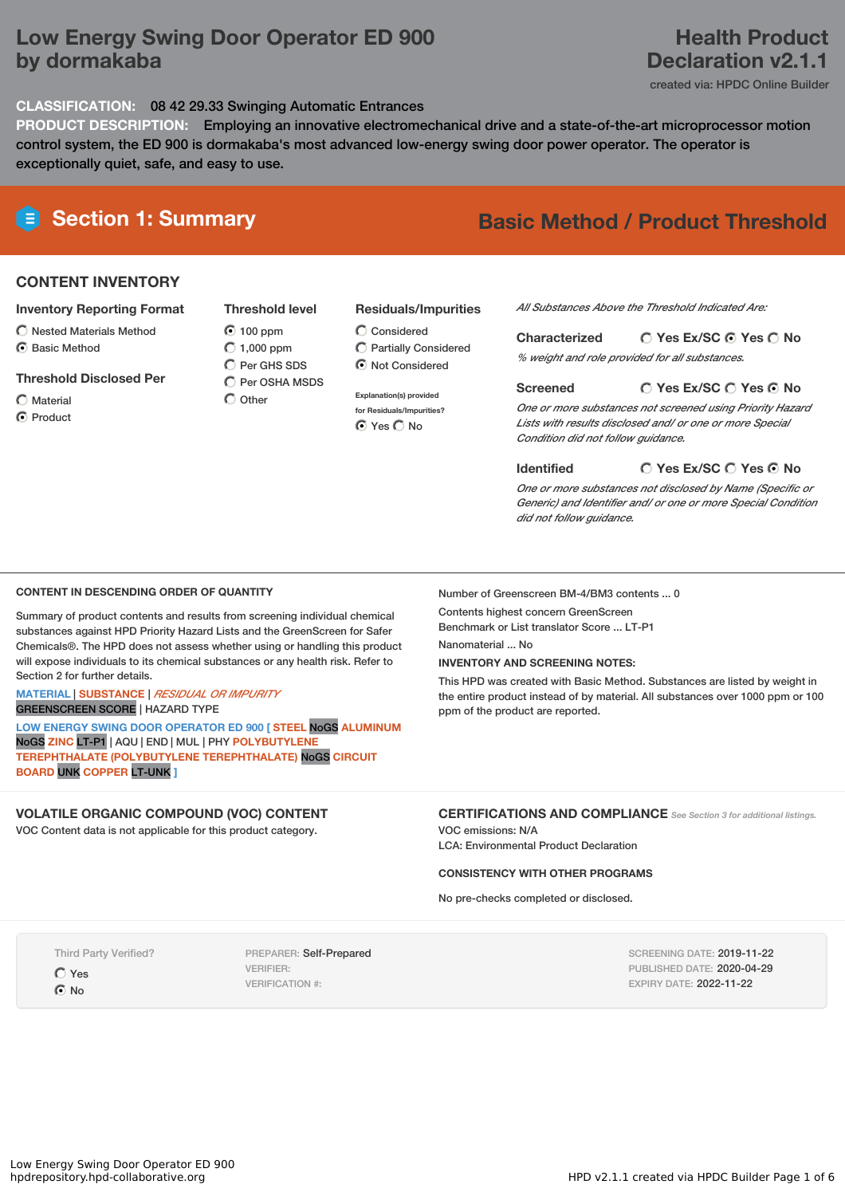# **Low Energy Swing Door Operator ED 900 by dormakaba**

### **CLASSIFICATION:** 08 42 29.33 Swinging Automatic Entrances

**PRODUCT DESCRIPTION:** Employing an innovative electromechanical drive and a state-of-the-art microprocessor motion control system, the ED 900 is dormakaba's most advanced low-energy swing door power operator. The operator is exceptionally quiet, safe, and easy to use.

## **CONTENT INVENTORY**

#### **Inventory Reporting Format**

- $\bigcirc$  Nested Materials Method
- C Basic Method

#### **Threshold Disclosed Per**

- Material
- C Product

### **Threshold level** 100 ppm  $O$  1,000 ppm  $\overline{O}$  Per GHS SDS  $\overline{O}$  Per OSHA MSDS

 $\bigcirc$  Other

### **Residuals/Impurities**

- Considered Partially Considered  $\odot$  Not Considered
- **Explanation(s) provided for Residuals/Impurities?** ⊙ Yes O No

# **Section 1: Summary Basic Method / Product Threshold**

*All Substances Above the Threshold Indicated Are:*

**Yes Ex/SC Yes No Characterized** *% weight and role provided for all substances.*

#### **Yes Ex/SC Yes No Screened**

*One or more substances not screened using Priority Hazard Lists with results disclosed and/ or one or more Special Condition did not follow guidance.*

**Identified**

#### **Yes Ex/SC Yes No**

*One or more substances not disclosed by Name (Specific or Generic) and Identifier and/ or one or more Special Condition did not follow guidance.*

#### **CONTENT IN DESCENDING ORDER OF QUANTITY**

Summary of product contents and results from screening individual chemical substances against HPD Priority Hazard Lists and the GreenScreen for Safer Chemicals®. The HPD does not assess whether using or handling this product will expose individuals to its chemical substances or any health risk. Refer to Section 2 for further details.

#### **MATERIAL** | **SUBSTANCE** | *RESIDUAL OR IMPURITY* GREENSCREEN SCORE | HAZARD TYPE

**LOW ENERGY SWING DOOR OPERATOR ED 900 [ STEEL** NoGS **ALUMINUM** NoGS **ZINC** LT-P1 | AQU | END | MUL | PHY **POLYBUTYLENE TEREPHTHALATE (POLYBUTYLENE TEREPHTHALATE)** NoGS **CIRCUIT BOARD** UNK **COPPER** LT-UNK **]**

# **VOLATILE ORGANIC COMPOUND (VOC) CONTENT**

VOC Content data is not applicable for this product category.

Number of Greenscreen BM-4/BM3 contents ... 0

Contents highest concern GreenScreen

Benchmark or List translator Score ... LT-P1

Nanomaterial ... No

### **INVENTORY AND SCREENING NOTES:**

This HPD was created with Basic Method. Substances are listed by weight in the entire product instead of by material. All substances over 1000 ppm or 100 ppm of the product are reported.

### **CERTIFICATIONS AND COMPLIANCE** *See Section <sup>3</sup> for additional listings.*

VOC emissions: N/A LCA: Environmental Product Declaration

#### **CONSISTENCY WITH OTHER PROGRAMS**

No pre-checks completed or disclosed.

Third Party Verified?

Yes  $\odot$  No

PREPARER: Self-Prepared VERIFIER: VERIFICATION #:

SCREENING DATE: 2019-11-22 PUBLISHED DATE: 2020-04-29 EXPIRY DATE: 2022-11-22

# **Health Product Declaration v2.1.1**

created via: HPDC Online Builder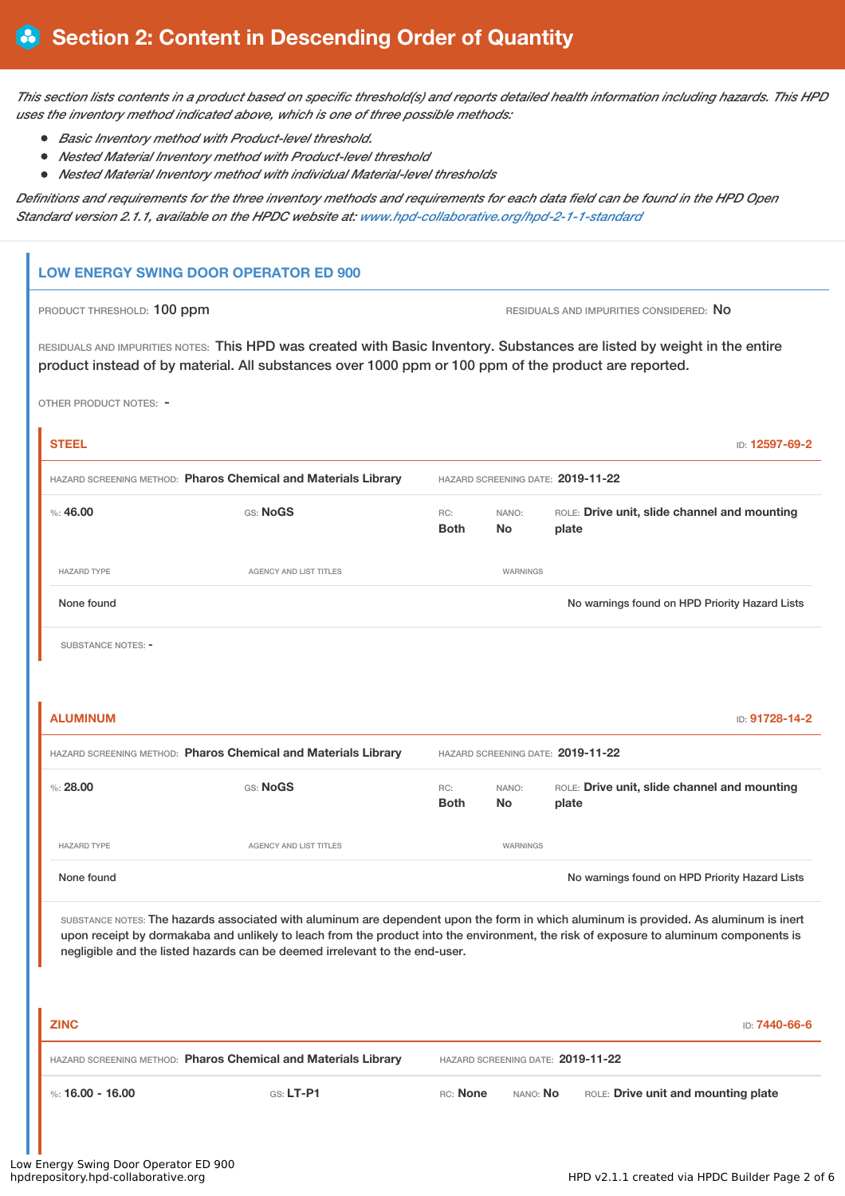This section lists contents in a product based on specific threshold(s) and reports detailed health information including hazards. This HPD *uses the inventory method indicated above, which is one of three possible methods:*

- *Basic Inventory method with Product-level threshold.*
- *Nested Material Inventory method with Product-level threshold*
- *Nested Material Inventory method with individual Material-level thresholds*

Definitions and requirements for the three inventory methods and requirements for each data field can be found in the HPD Open *Standard version 2.1.1, available on the HPDC website at: [www.hpd-collaborative.org/hpd-2-1-1-standard](https://www.hpd-collaborative.org/hpd-2-1-1-standard)*

### **LOW ENERGY SWING DOOR OPERATOR ED 900**

#### PRODUCT THRESHOLD: 100 ppm **RESIDUALS** AND IMPURITIES CONSIDERED: No

RESIDUALS AND IMPURITIES NOTES: This HPD was created with Basic Inventory. Substances are listed by weight in the entire product instead of by material. All substances over 1000 ppm or 100 ppm of the product are reported.

OTHER PRODUCT NOTES: -

| <b>STEEL</b>                                                   |                                                                             |                                   |                    | ID: 12597-69-2                                                                                                                                                                                                                                                                 |  |
|----------------------------------------------------------------|-----------------------------------------------------------------------------|-----------------------------------|--------------------|--------------------------------------------------------------------------------------------------------------------------------------------------------------------------------------------------------------------------------------------------------------------------------|--|
| HAZARD SCREENING METHOD: Pharos Chemical and Materials Library |                                                                             | HAZARD SCREENING DATE: 2019-11-22 |                    |                                                                                                                                                                                                                                                                                |  |
| %:46.00                                                        | <b>GS: NoGS</b>                                                             | RC:<br><b>Both</b>                | NANO:<br><b>No</b> | ROLE: Drive unit, slide channel and mounting<br>plate                                                                                                                                                                                                                          |  |
| <b>HAZARD TYPE</b>                                             | AGENCY AND LIST TITLES                                                      |                                   | WARNINGS           |                                                                                                                                                                                                                                                                                |  |
| None found                                                     |                                                                             |                                   |                    | No warnings found on HPD Priority Hazard Lists                                                                                                                                                                                                                                 |  |
| SUBSTANCE NOTES: -                                             |                                                                             |                                   |                    |                                                                                                                                                                                                                                                                                |  |
|                                                                |                                                                             |                                   |                    |                                                                                                                                                                                                                                                                                |  |
| <b>ALUMINUM</b>                                                |                                                                             |                                   |                    | ID: 91728-14-2                                                                                                                                                                                                                                                                 |  |
| HAZARD SCREENING METHOD: Pharos Chemical and Materials Library |                                                                             | HAZARD SCREENING DATE: 2019-11-22 |                    |                                                                                                                                                                                                                                                                                |  |
| $\%: 28.00$                                                    | GS: NoGS                                                                    | RC:<br><b>Both</b>                | NANO:<br>No        | ROLE: Drive unit, slide channel and mounting<br>plate                                                                                                                                                                                                                          |  |
| <b>HAZARD TYPE</b>                                             | <b>AGENCY AND LIST TITLES</b>                                               |                                   | <b>WARNINGS</b>    |                                                                                                                                                                                                                                                                                |  |
| None found                                                     |                                                                             |                                   |                    | No warnings found on HPD Priority Hazard Lists                                                                                                                                                                                                                                 |  |
|                                                                | negligible and the listed hazards can be deemed irrelevant to the end-user. |                                   |                    | SUBSTANCE NOTES: The hazards associated with aluminum are dependent upon the form in which aluminum is provided. As aluminum is inert<br>upon receipt by dormakaba and unlikely to leach from the product into the environment, the risk of exposure to aluminum components is |  |
| <b>ZINC</b>                                                    |                                                                             |                                   |                    | ID: 7440-66-6                                                                                                                                                                                                                                                                  |  |
| HAZARD SCREENING METHOD: Pharos Chemical and Materials Library |                                                                             |                                   |                    | HAZARD SCREENING DATE: 2019-11-22                                                                                                                                                                                                                                              |  |
| %: $16.00 - 16.00$                                             | GS: LT-P1                                                                   | RC: None                          | NANO: No           | ROLE: Drive unit and mounting plate                                                                                                                                                                                                                                            |  |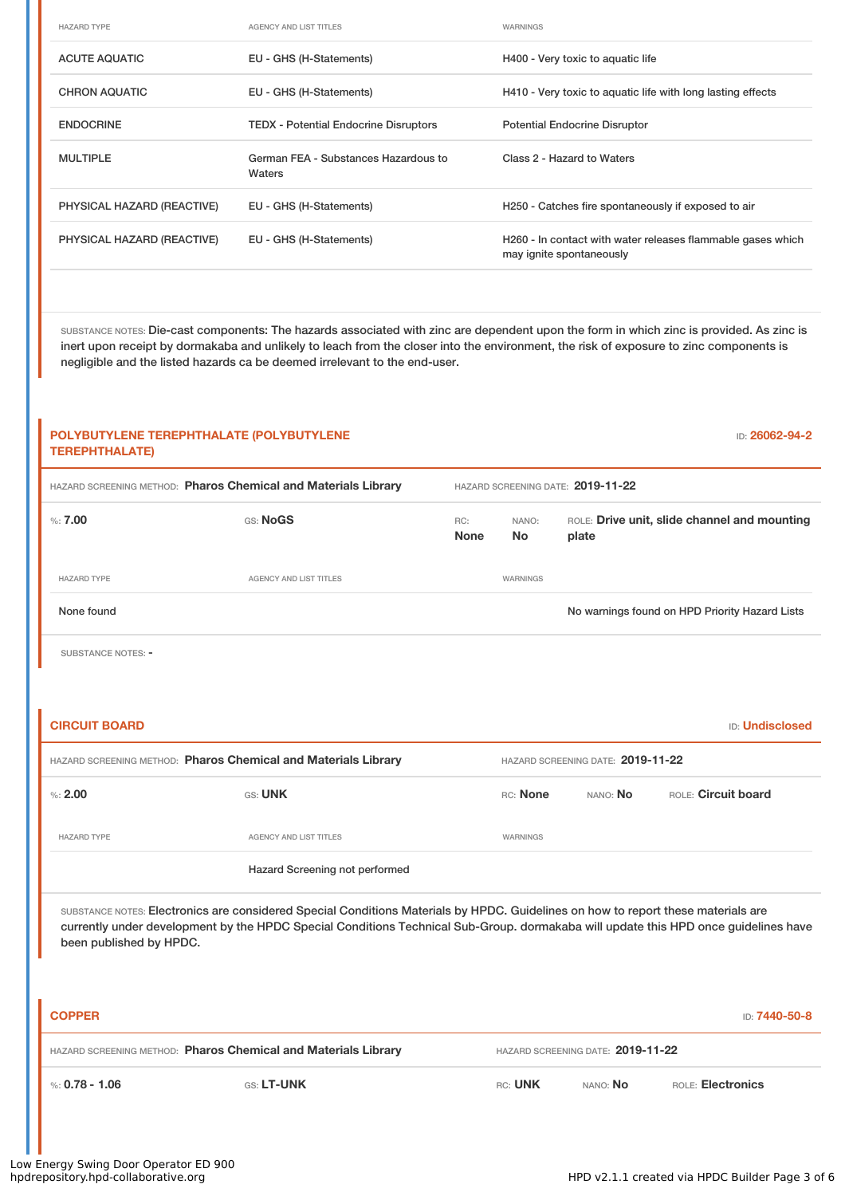| <b>HAZARD TYPE</b>         | <b>AGENCY AND LIST TITLES</b>                  | WARNINGS                                                                                |
|----------------------------|------------------------------------------------|-----------------------------------------------------------------------------------------|
| <b>ACUTE AQUATIC</b>       | EU - GHS (H-Statements)                        | H400 - Very toxic to aquatic life                                                       |
| <b>CHRON AQUATIC</b>       | EU - GHS (H-Statements)                        | H410 - Very toxic to aquatic life with long lasting effects                             |
| <b>ENDOCRINE</b>           | <b>TEDX</b> - Potential Endocrine Disruptors   | <b>Potential Endocrine Disruptor</b>                                                    |
| <b>MULTIPLE</b>            | German FEA - Substances Hazardous to<br>Waters | Class 2 - Hazard to Waters                                                              |
| PHYSICAL HAZARD (REACTIVE) | EU - GHS (H-Statements)                        | H250 - Catches fire spontaneously if exposed to air                                     |
| PHYSICAL HAZARD (REACTIVE) | EU - GHS (H-Statements)                        | H260 - In contact with water releases flammable gases which<br>may ignite spontaneously |

SUBSTANCE NOTES: Die-cast components: The hazards associated with zinc are dependent upon the form in which zinc is provided. As zinc is inert upon receipt by dormakaba and unlikely to leach from the closer into the environment, the risk of exposure to zinc components is negligible and the listed hazards ca be deemed irrelevant to the end-user.

# **POLYBUTYLENE TEREPHTHALATE (POLYBUTYLENE TEREPHTHALATE)** ID: **26062-94-2** HAZARD SCREENING METHOD: **Pharos Chemical and Materials Library** HAZARD SCREENING DATE: **2019-11-22** %: **7.00** GS: **NoGS** GS: **NoGS None** NANO: **No** ROLE: **Drive unit, slide channel and mounting plate** HAZARD TYPE **AGENCY AND LIST TITLES** WARNINGS None found Now arrings found on HPD Priority Hazard Lists SUBSTANCE NOTES: -**CIRCUIT BOARD** ID: **Undisclosed** HAZARD SCREENING METHOD: **Pharos Chemical and Materials Library** HAZARD SCREENING DATE: **2019-11-22** %: **2.00** GS: **UNK** RC: **None** NANO: **No** ROLE: **Circuit board** HAZARD TYPE **AGENCY AND LIST TITLES** WARNINGS Hazard Screening not performed SUBSTANCE NOTES: Electronics are considered Special Conditions Materials by HPDC. Guidelines on how to report these materials are currently under development by the HPDC Special Conditions Technical Sub-Group. dormakaba will update this HPD once guidelines have been published by HPDC. **COPPER** ID: **7440-50-8**

| HAZARD SCREENING METHOD: Pharos Chemical and Materials Library |                   |         | HAZARD SCREENING DATE: 2019-11-22 |                          |  |  |
|----------------------------------------------------------------|-------------------|---------|-----------------------------------|--------------------------|--|--|
| $\frac{1}{2}$ %: 0.78 - 1.06                                   | <b>GS: LT-UNK</b> | RC: UNK | NANO: <b>No</b>                   | <b>ROLE: Electronics</b> |  |  |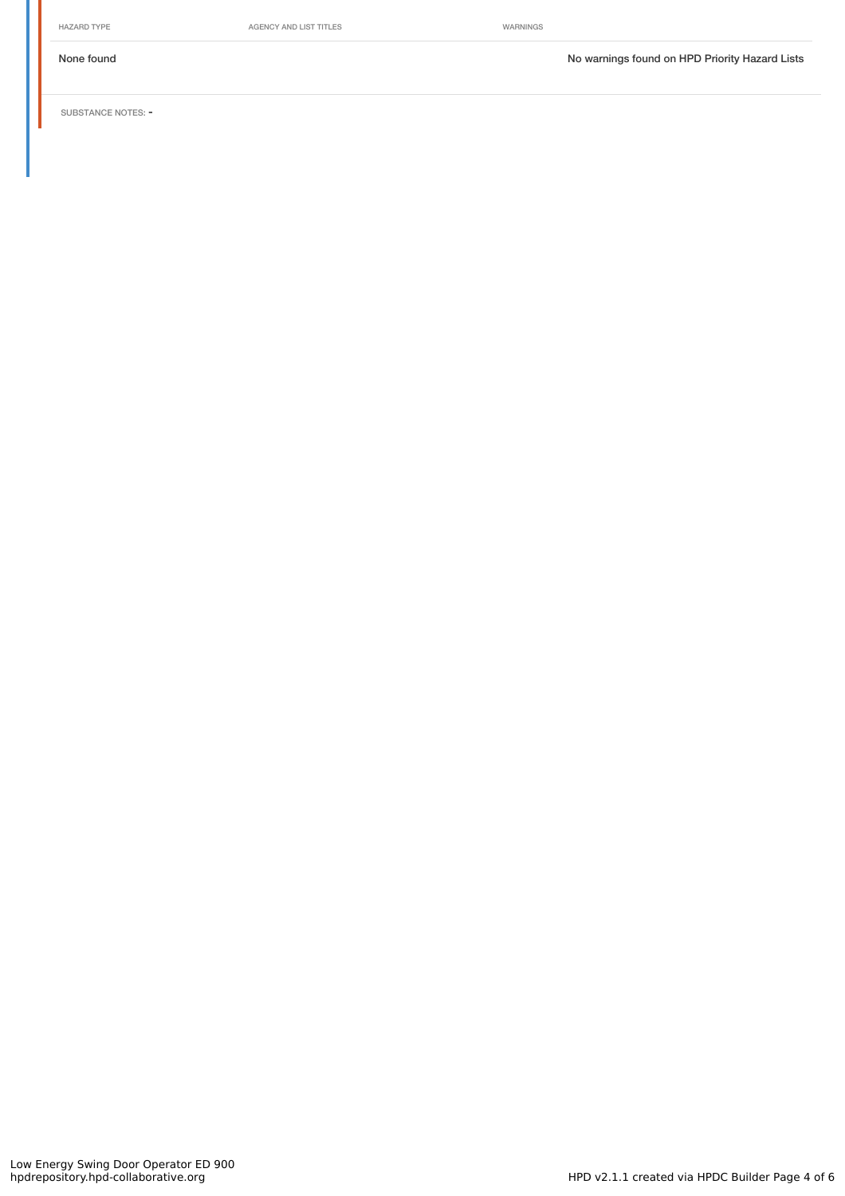HAZARD TYPE **AGENCY AND LIST TITLES** WARNINGS

None found Now arrings found on HPD Priority Hazard Lists

SUBSTANCE NOTES: -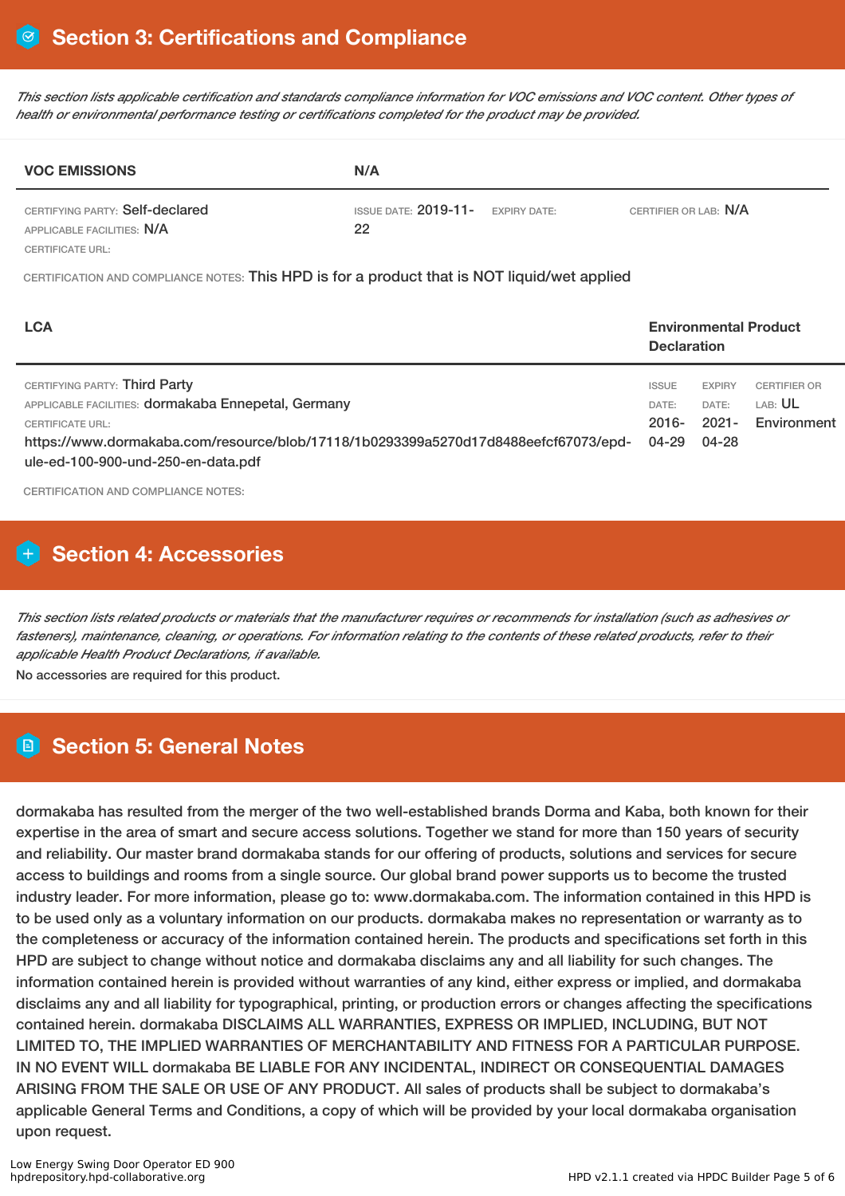This section lists applicable certification and standards compliance information for VOC emissions and VOC content. Other types of *health or environmental performance testing or certifications completed for the product may be provided.*

| <b>VOC EMISSIONS</b>                                          | N/A                                                    |                       |
|---------------------------------------------------------------|--------------------------------------------------------|-----------------------|
| CERTIFYING PARTY: Self-declared<br>APPLICABLE FACILITIES: N/A | ISSUE DATE: $2019 - 11 -$<br><b>EXPIRY DATE:</b><br>22 | CERTIFIER OR LAB: N/A |
| CERTIFICATE URL:                                              |                                                        |                       |

CERTIFICATION AND COMPLIANCE NOTES: This HPD is for a product that is NOT liquid/wet applied

| <b>LCA</b>                                                                                                                                                                                                                                   |                                            | <b>Environmental Product</b><br><b>Declaration</b> |                                                      |  |
|----------------------------------------------------------------------------------------------------------------------------------------------------------------------------------------------------------------------------------------------|--------------------------------------------|----------------------------------------------------|------------------------------------------------------|--|
| CERTIFYING PARTY: Third Party<br>APPLICABLE FACILITIES: dormakaba Ennepetal, Germany<br><b>CERTIFICATE URL:</b><br>https://www.dormakaba.com/resource/blob/17118/1b0293399a5270d17d8488eefcf67073/epd-<br>ule-ed-100-900-und-250-en-data.pdf | <b>ISSUE</b><br>DATE:<br>$2016 -$<br>04-29 | <b>EXPIRY</b><br>DATE:<br>$2021 -$<br>04-28        | <b>CERTIFIER OR</b><br>LAB: <b>UL</b><br>Environment |  |

CERTIFICATION AND COMPLIANCE NOTES:

# **Section 4: Accessories**

This section lists related products or materials that the manufacturer requires or recommends for installation (such as adhesives or fasteners), maintenance, cleaning, or operations. For information relating to the contents of these related products, refer to their *applicable Health Product Declarations, if available.*

No accessories are required for this product.

# **Section 5: General Notes**

dormakaba has resulted from the merger of the two well-established brands Dorma and Kaba, both known for their expertise in the area of smart and secure access solutions. Together we stand for more than 150 years of security and reliability. Our master brand dormakaba stands for our offering of products, solutions and services for secure access to buildings and rooms from a single source. Our global brand power supports us to become the trusted industry leader. For more information, please go to: www.dormakaba.com. The information contained in this HPD is to be used only as a voluntary information on our products. dormakaba makes no representation or warranty as to the completeness or accuracy of the information contained herein. The products and specifications set forth in this HPD are subject to change without notice and dormakaba disclaims any and all liability for such changes. The information contained herein is provided without warranties of any kind, either express or implied, and dormakaba disclaims any and all liability for typographical, printing, or production errors or changes affecting the specifications contained herein. dormakaba DISCLAIMS ALL WARRANTIES, EXPRESS OR IMPLIED, INCLUDING, BUT NOT LIMITED TO, THE IMPLIED WARRANTIES OF MERCHANTABILITY AND FITNESS FOR A PARTICULAR PURPOSE. IN NO EVENT WILL dormakaba BE LIABLE FOR ANY INCIDENTAL, INDIRECT OR CONSEQUENTIAL DAMAGES ARISING FROM THE SALE OR USE OF ANY PRODUCT. All sales of products shall be subject to dormakaba's applicable General Terms and Conditions, a copy of which will be provided by your local dormakaba organisation upon request.